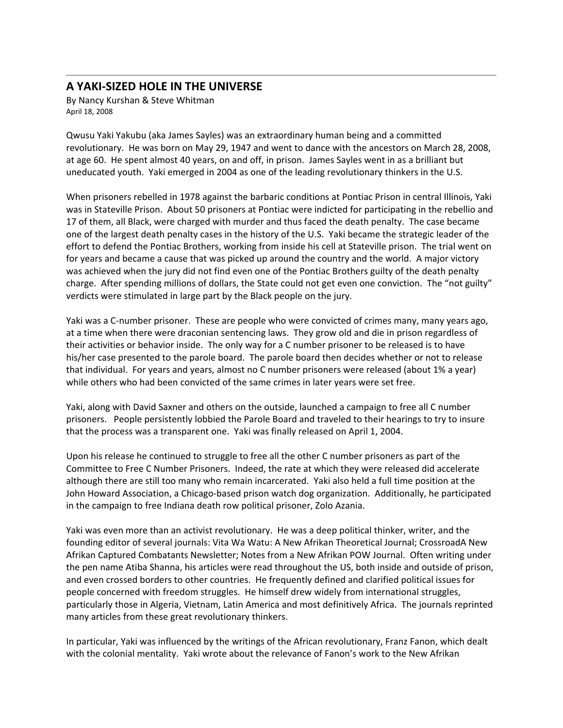## **A YAKI‐SIZED HOLE IN THE UNIVERSE**

By Nancy Kurshan & Steve Whitman April 18, 2008

Qwusu Yaki Yakubu (aka James Sayles) was an extraordinary human being and a committed revolutionary. He was born on May 29, 1947 and went to dance with the ancestors on March 28, 2008, at age 60. He spent almost 40 years, on and off, in prison. James Sayles went in as a brilliant but uneducated youth. Yaki emerged in 2004 as one of the leading revolutionary thinkers in the U.S.

When prisoners rebelled in 1978 against the barbaric conditions at Pontiac Prison in central Illinois, Yaki was in Stateville Prison. About 50 prisoners at Pontiac were indicted for participating in the rebellio and 17 of them, all Black, were charged with murder and thus faced the death penalty. The case became one of the largest death penalty cases in the history of the U.S. Yaki became the strategic leader of the effort to defend the Pontiac Brothers, working from inside his cell at Stateville prison. The trial went on for years and became a cause that was picked up around the country and the world. A major victory was achieved when the jury did not find even one of the Pontiac Brothers guilty of the death penalty charge. After spending millions of dollars, the State could not get even one conviction. The "not guilty" verdicts were stimulated in large part by the Black people on the jury.

Yaki was a C‐number prisoner. These are people who were convicted of crimes many, many years ago, at a time when there were draconian sentencing laws. They grow old and die in prison regardless of their activities or behavior inside. The only way for a C number prisoner to be released is to have his/her case presented to the parole board. The parole board then decides whether or not to release that individual. For years and years, almost no C number prisoners were released (about 1% a year) while others who had been convicted of the same crimes in later years were set free.

Yaki, along with David Saxner and others on the outside, launched a campaign to free all C number prisoners. People persistently lobbied the Parole Board and traveled to their hearings to try to insure that the process was a transparent one. Yaki was finally released on April 1, 2004.

Upon his release he continued to struggle to free all the other C number prisoners as part of the Committee to Free C Number Prisoners. Indeed, the rate at which they were released did accelerate although there are still too many who remain incarcerated. Yaki also held a full time position at the John Howard Association, a Chicago‐based prison watch dog organization. Additionally, he participated in the campaign to free Indiana death row political prisoner, Zolo Azania.

Yaki was even more than an activist revolutionary. He was a deep political thinker, writer, and the founding editor of several journals: Vita Wa Watu: A New Afrikan Theoretical Journal; CrossroadA New Afrikan Captured Combatants Newsletter; Notes from a New Afrikan POW Journal. Often writing under the pen name Atiba Shanna, his articles were read throughout the US, both inside and outside of prison, and even crossed borders to other countries. He frequently defined and clarified political issues for people concerned with freedom struggles. He himself drew widely from international struggles, particularly those in Algeria, Vietnam, Latin America and most definitively Africa. The journals reprinted many articles from these great revolutionary thinkers.

In particular, Yaki was influenced by the writings of the African revolutionary, Franz Fanon, which dealt with the colonial mentality. Yaki wrote about the relevance of Fanon's work to the New Afrikan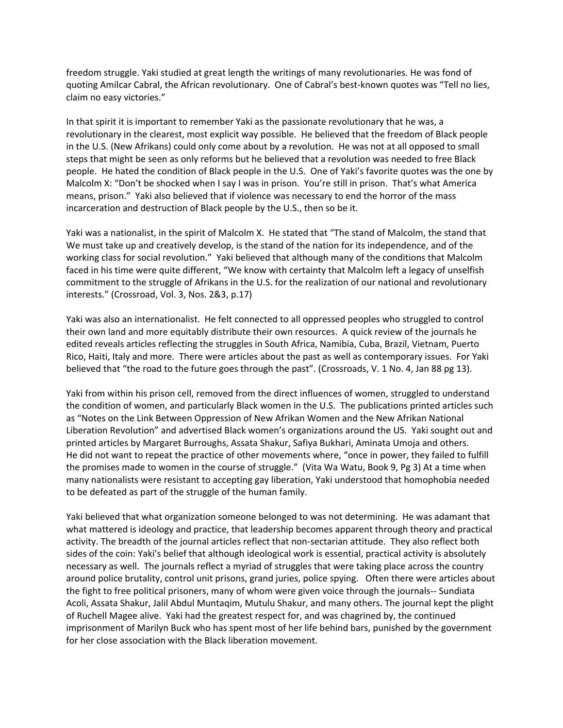freedom struggle. Yaki studied at great length the writings of many revolutionaries. He was fond of quoting Amilcar Cabral, the African revolutionary. One of Cabral's best-known quotes was "Tell no lies, claim no easy victories."

In that spirit it is important to remember Yaki as the passionate revolutionary that he was, a revolutionary in the clearest, most explicit way possible. He believed that the freedom of Black people in the U.S. (New Afrikans) could only come about by a revolution. He was not at all opposed to small steps that might be seen as only reforms but he believed that a revolution was needed to free Black people. He hated the condition of Black people in the U.S. One of Yaki's favorite quotes was the one by Malcolm X: "Don't be shocked when I say I was in prison. You're still in prison. That's what America means, prison." Yaki also believed that if violence was necessary to end the horror of the mass incarceration and destruction of Black people by the U.S., then so be it.

Yaki was a nationalist, in the spirit of Malcolm X. He stated that "The stand of Malcolm, the stand that We must take up and creatively develop, is the stand of the nation for its independence, and of the working class for social revolution." Yaki believed that although many of the conditions that Malcolm faced in his time were quite different, "We know with certainty that Malcolm left a legacy of unselfish commitment to the struggle of Afrikans in the U.S. for the realization of our national and revolutionary interests." (Crossroad, Vol. 3, Nos. 2&3, p.17)

Yaki was also an internationalist. He felt connected to all oppressed peoples who struggled to control their own land and more equitably distribute their own resources. A quick review of the journals he edited reveals articles reflecting the struggles in South Africa, Namibia, Cuba, Brazil, Vietnam, Puerto Rico, Haiti, Italy and more. There were articles about the past as well as contemporary issues. For Yaki believed that "the road to the future goes through the past". (Crossroads, V. 1 No. 4, Jan 88 pg 13).

Yaki from within his prison cell, removed from the direct influences of women, struggled to understand the condition of women, and particularly Black women in the U.S. The publications printed articles such as "Notes on the Link Between Oppression of New Afrikan Women and the New Afrikan National Liberation Revolution" and advertised Black women's organizations around the US. Yaki sought out and printed articles by Margaret Burroughs, Assata Shakur, Safiya Bukhari, Aminata Umoja and others. He did not want to repeat the practice of other movements where, "once in power, they failed to fulfill the promises made to women in the course of struggle." (Vita Wa Watu, Book 9, Pg 3) At a time when many nationalists were resistant to accepting gay liberation, Yaki understood that homophobia needed to be defeated as part of the struggle of the human family.

Yaki believed that what organization someone belonged to was not determining. He was adamant that what mattered is ideology and practice, that leadership becomes apparent through theory and practical activity. The breadth of the journal articles reflect that non‐sectarian attitude. They also reflect both sides of the coin: Yaki's belief that although ideological work is essential, practical activity is absolutely necessary as well. The journals reflect a myriad of struggles that were taking place across the country around police brutality, control unit prisons, grand juries, police spying. Often there were articles about the fight to free political prisoners, many of whom were given voice through the journals‐‐ Sundiata Acoli, Assata Shakur, Jalil Abdul Muntaqim, Mutulu Shakur, and many others. The journal kept the plight of Ruchell Magee alive. Yaki had the greatest respect for, and was chagrined by, the continued imprisonment of Marilyn Buck who has spent most of her life behind bars, punished by the government for her close association with the Black liberation movement.